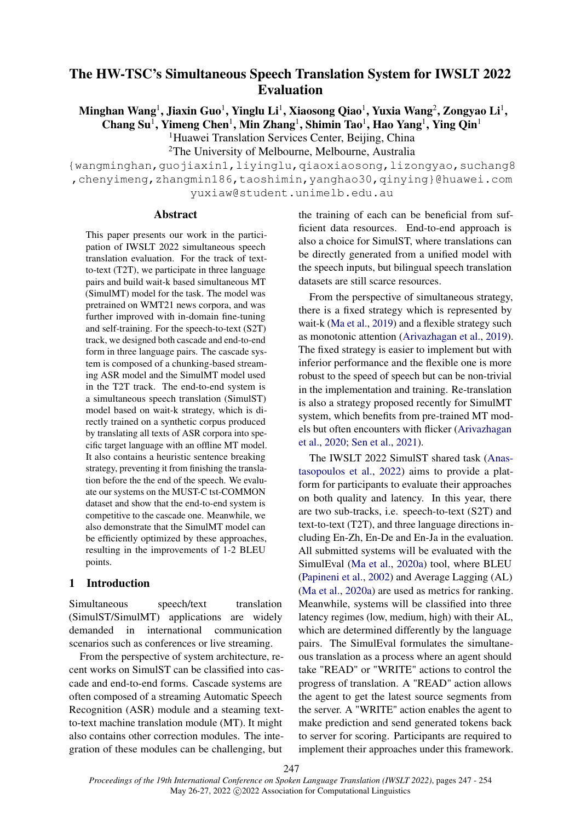# The HW-TSC's Simultaneous Speech Translation System for IWSLT 2022 Evaluation

Minghan Wang $^{\rm l}$ , Jiaxin Guo $^{\rm l}$ , Yinglu Li $^{\rm l}$ , Xiaosong Qiao $^{\rm l}$ , Yuxia Wang $^{\rm 2}$ , Zongyao Li $^{\rm l}$ ,

Chang Su<sup>1</sup>, Yimeng Chen<sup>1</sup>, Min Zhang<sup>1</sup>, Shimin Tao<sup>1</sup>, Hao Yang<sup>1</sup>, Ying Qin<sup>1</sup> <sup>1</sup>Huawei Translation Services Center, Beijing, China

<sup>2</sup>The University of Melbourne, Melbourne, Australia

{wangminghan,guojiaxin1,liyinglu,qiaoxiaosong,lizongyao,suchang8 ,chenyimeng,zhangmin186,taoshimin,yanghao30,qinying}@huawei.com yuxiaw@student.unimelb.edu.au

## Abstract

This paper presents our work in the participation of IWSLT 2022 simultaneous speech translation evaluation. For the track of textto-text (T2T), we participate in three language pairs and build wait-k based simultaneous MT (SimulMT) model for the task. The model was pretrained on WMT21 news corpora, and was further improved with in-domain fine-tuning and self-training. For the speech-to-text (S2T) track, we designed both cascade and end-to-end form in three language pairs. The cascade system is composed of a chunking-based streaming ASR model and the SimulMT model used in the T2T track. The end-to-end system is a simultaneous speech translation (SimulST) model based on wait-k strategy, which is directly trained on a synthetic corpus produced by translating all texts of ASR corpora into specific target language with an offline MT model. It also contains a heuristic sentence breaking strategy, preventing it from finishing the translation before the the end of the speech. We evaluate our systems on the MUST-C tst-COMMON dataset and show that the end-to-end system is competitive to the cascade one. Meanwhile, we also demonstrate that the SimulMT model can be efficiently optimized by these approaches, resulting in the improvements of 1-2 BLEU points.

## 1 Introduction

Simultaneous speech/text translation (SimulST/SimulMT) applications are widely demanded in international communication scenarios such as conferences or live streaming.

From the perspective of system architecture, recent works on SimulST can be classified into cascade and end-to-end forms. Cascade systems are often composed of a streaming Automatic Speech Recognition (ASR) module and a steaming textto-text machine translation module (MT). It might also contains other correction modules. The integration of these modules can be challenging, but

the training of each can be beneficial from sufficient data resources. End-to-end approach is also a choice for SimulST, where translations can be directly generated from a unified model with the speech inputs, but bilingual speech translation datasets are still scarce resources.

From the perspective of simultaneous strategy, there is a fixed strategy which is represented by wait-k [\(Ma et al.,](#page-6-0) [2019\)](#page-6-0) and a flexible strategy such as monotonic attention [\(Arivazhagan et al.,](#page-6-1) [2019\)](#page-6-1). The fixed strategy is easier to implement but with inferior performance and the flexible one is more robust to the speed of speech but can be non-trivial in the implementation and training. Re-translation is also a strategy proposed recently for SimulMT system, which benefits from pre-trained MT models but often encounters with flicker [\(Arivazhagan](#page-6-2) [et al.,](#page-6-2) [2020;](#page-6-2) [Sen et al.,](#page-7-0) [2021\)](#page-7-0).

The IWSLT 2022 SimulST shared task [\(Anas](#page-5-0)[tasopoulos et al.,](#page-5-0) [2022\)](#page-5-0) aims to provide a platform for participants to evaluate their approaches on both quality and latency. In this year, there are two sub-tracks, i.e. speech-to-text (S2T) and text-to-text (T2T), and three language directions including En-Zh, En-De and En-Ja in the evaluation. All submitted systems will be evaluated with the SimulEval [\(Ma et al.,](#page-6-3) [2020a\)](#page-6-3) tool, where BLEU [\(Papineni et al.,](#page-7-1) [2002\)](#page-7-1) and Average Lagging (AL) [\(Ma et al.,](#page-6-3) [2020a\)](#page-6-3) are used as metrics for ranking. Meanwhile, systems will be classified into three latency regimes (low, medium, high) with their AL, which are determined differently by the language pairs. The SimulEval formulates the simultaneous translation as a process where an agent should take "READ" or "WRITE" actions to control the progress of translation. A "READ" action allows the agent to get the latest source segments from the server. A "WRITE" action enables the agent to make prediction and send generated tokens back to server for scoring. Participants are required to implement their approaches under this framework.

*Proceedings of the 19th International Conference on Spoken Language Translation (IWSLT 2022)*, pages 247 - 254 May 26-27, 2022 C 2022 Association for Computational Linguistics 247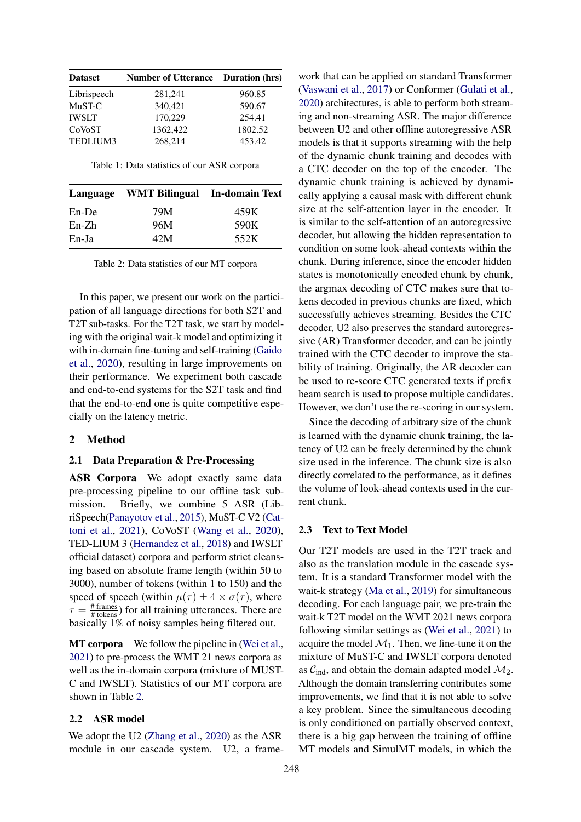| <b>Dataset</b> | <b>Number of Utterance</b> | <b>Duration</b> (hrs) |
|----------------|----------------------------|-----------------------|
| Librispeech    | 281,241                    | 960.85                |
| MuST-C         | 340,421                    | 590.67                |
| <b>IWSLT</b>   | 170,229                    | 254.41                |
| CoVoST         | 1362.422                   | 1802.52               |
| TEDLIUM3       | 268,214                    | 453.42                |

Table 1: Data statistics of our ASR corpora

<span id="page-1-0"></span>

|         | Language WMT Bilingual In-domain Text |      |
|---------|---------------------------------------|------|
| En-De   | 79M                                   | 459K |
| $En-Zh$ | 96M                                   | 590K |
| $En-Ja$ | 42M                                   | 552K |

Table 2: Data statistics of our MT corpora

In this paper, we present our work on the participation of all language directions for both S2T and T2T sub-tasks. For the T2T task, we start by modeling with the original wait-k model and optimizing it with in-domain fine-tuning and self-training [\(Gaido](#page-6-4) [et al.,](#page-6-4) [2020\)](#page-6-4), resulting in large improvements on their performance. We experiment both cascade and end-to-end systems for the S2T task and find that the end-to-end one is quite competitive especially on the latency metric.

#### 2 Method

#### 2.1 Data Preparation & Pre-Processing

ASR Corpora We adopt exactly same data pre-processing pipeline to our offline task submission. Briefly, we combine 5 ASR (LibriSpeech[\(Panayotov et al.,](#page-7-2) [2015\)](#page-7-2), MuST-C V2 [\(Cat](#page-6-5)[toni et al.,](#page-6-5) [2021\)](#page-6-5), CoVoST [\(Wang et al.,](#page-7-3) [2020\)](#page-7-3), TED-LIUM 3 [\(Hernandez et al.,](#page-6-6) [2018\)](#page-6-6) and IWSLT official dataset) corpora and perform strict cleansing based on absolute frame length (within 50 to 3000), number of tokens (within 1 to 150) and the speed of speech (within  $\mu(\tau) \pm 4 \times \sigma(\tau)$ , where  $\tau = \frac{\text{\# frames}}{\text{\# tokens}}$ ) for all training utterances. There are basically 1% of noisy samples being filtered out.

MT corpora We follow the pipeline in [\(Wei et al.,](#page-7-4) [2021\)](#page-7-4) to pre-process the WMT 21 news corpora as well as the in-domain corpora (mixture of MUST-C and IWSLT). Statistics of our MT corpora are shown in Table [2.](#page-1-0)

## 2.2 ASR model

We adopt the U2 [\(Zhang et al.,](#page-7-5) [2020\)](#page-7-5) as the ASR module in our cascade system. U2, a framework that can be applied on standard Transformer [\(Vaswani et al.,](#page-7-6) [2017\)](#page-7-6) or Conformer [\(Gulati et al.,](#page-6-7) [2020\)](#page-6-7) architectures, is able to perform both streaming and non-streaming ASR. The major difference between U2 and other offline autoregressive ASR models is that it supports streaming with the help of the dynamic chunk training and decodes with a CTC decoder on the top of the encoder. The dynamic chunk training is achieved by dynamically applying a causal mask with different chunk size at the self-attention layer in the encoder. It is similar to the self-attention of an autoregressive decoder, but allowing the hidden representation to condition on some look-ahead contexts within the chunk. During inference, since the encoder hidden states is monotonically encoded chunk by chunk, the argmax decoding of CTC makes sure that tokens decoded in previous chunks are fixed, which successfully achieves streaming. Besides the CTC decoder, U2 also preserves the standard autoregressive (AR) Transformer decoder, and can be jointly trained with the CTC decoder to improve the stability of training. Originally, the AR decoder can be used to re-score CTC generated texts if prefix beam search is used to propose multiple candidates. However, we don't use the re-scoring in our system.

Since the decoding of arbitrary size of the chunk is learned with the dynamic chunk training, the latency of U2 can be freely determined by the chunk size used in the inference. The chunk size is also directly correlated to the performance, as it defines the volume of look-ahead contexts used in the current chunk.

#### 2.3 Text to Text Model

Our T2T models are used in the T2T track and also as the translation module in the cascade system. It is a standard Transformer model with the wait-k strategy [\(Ma et al.,](#page-6-0) [2019\)](#page-6-0) for simultaneous decoding. For each language pair, we pre-train the wait-k T2T model on the WMT 2021 news corpora following similar settings as [\(Wei et al.,](#page-7-4) [2021\)](#page-7-4) to acquire the model  $\mathcal{M}_1$ . Then, we fine-tune it on the mixture of MuST-C and IWSLT corpora denoted as  $C_{\text{ind}}$ , and obtain the domain adapted model  $\mathcal{M}_2$ . Although the domain transferring contributes some improvements, we find that it is not able to solve a key problem. Since the simultaneous decoding is only conditioned on partially observed context, there is a big gap between the training of offline MT models and SimulMT models, in which the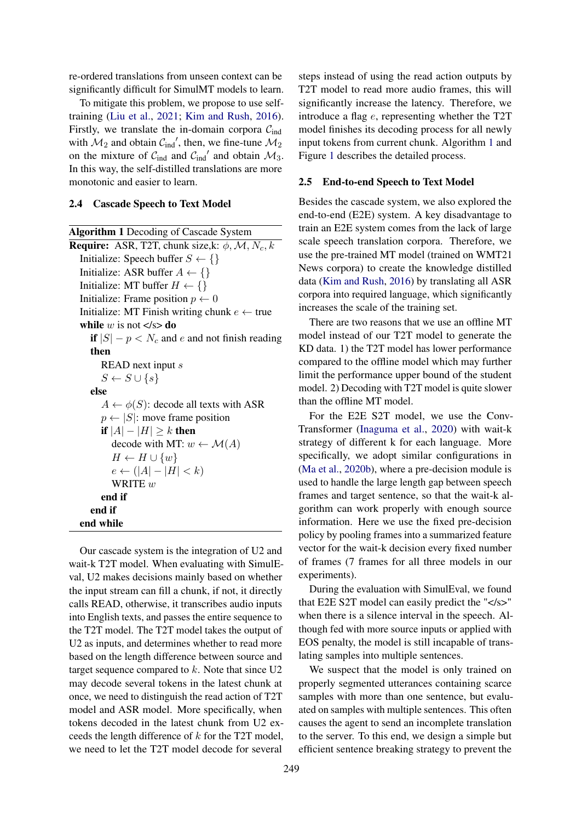re-ordered translations from unseen context can be significantly difficult for SimulMT models to learn.

To mitigate this problem, we propose to use selftraining [\(Liu et al.,](#page-6-8) [2021;](#page-6-8) [Kim and Rush,](#page-6-9) [2016\)](#page-6-9). Firstly, we translate the in-domain corpora  $C_{ind}$ with  $\mathcal{M}_2$  and obtain  $\mathcal{C}_{ind}$ ', then, we fine-tune  $\mathcal{M}_2$ on the mixture of  $C_{ind}$  and  $C_{ind}'$  and obtain  $\mathcal{M}_3$ . In this way, the self-distilled translations are more monotonic and easier to learn.

#### 2.4 Cascade Speech to Text Model

<span id="page-2-0"></span>Algorithm 1 Decoding of Cascade System **Require:** ASR, T2T, chunk size,k:  $\phi$ , M, N<sub>c</sub>, k Initialize: Speech buffer  $S \leftarrow \{\}$ Initialize: ASR buffer  $A \leftarrow \{\}$ Initialize: MT buffer  $H \leftarrow \{\}$ Initialize: Frame position  $p \leftarrow 0$ Initialize: MT Finish writing chunk  $e \leftarrow$  true while w is not  $\langle s \rangle$  do if  $|S| - p < N_c$  and e and not finish reading then READ next input s  $S \leftarrow S \cup \{s\}$ else  $A \leftarrow \phi(S)$ : decode all texts with ASR  $p \leftarrow |S|$ : move frame position if  $|A| - |H| \geq k$  then decode with MT:  $w \leftarrow \mathcal{M}(A)$  $H \leftarrow H \cup \{w\}$  $e \leftarrow (|A| - |H| < k)$ WRITE  $w$ end if end if end while

Our cascade system is the integration of U2 and wait-k T2T model. When evaluating with SimulEval, U2 makes decisions mainly based on whether the input stream can fill a chunk, if not, it directly calls READ, otherwise, it transcribes audio inputs into English texts, and passes the entire sequence to the T2T model. The T2T model takes the output of U2 as inputs, and determines whether to read more based on the length difference between source and target sequence compared to  $k$ . Note that since  $U2$ may decode several tokens in the latest chunk at once, we need to distinguish the read action of T2T model and ASR model. More specifically, when tokens decoded in the latest chunk from U2 exceeds the length difference of k for the T2T model, we need to let the T2T model decode for several

steps instead of using the read action outputs by T2T model to read more audio frames, this will significantly increase the latency. Therefore, we introduce a flag e, representing whether the T2T model finishes its decoding process for all newly input tokens from current chunk. Algorithm [1](#page-2-0) and Figure [1](#page-3-0) describes the detailed process.

#### 2.5 End-to-end Speech to Text Model

Besides the cascade system, we also explored the end-to-end (E2E) system. A key disadvantage to train an E2E system comes from the lack of large scale speech translation corpora. Therefore, we use the pre-trained MT model (trained on WMT21 News corpora) to create the knowledge distilled data [\(Kim and Rush,](#page-6-9) [2016\)](#page-6-9) by translating all ASR corpora into required language, which significantly increases the scale of the training set.

There are two reasons that we use an offline MT model instead of our T2T model to generate the KD data. 1) the T2T model has lower performance compared to the offline model which may further limit the performance upper bound of the student model. 2) Decoding with T2T model is quite slower than the offline MT model.

For the E2E S2T model, we use the Conv-Transformer [\(Inaguma et al.,](#page-6-10) [2020\)](#page-6-10) with wait-k strategy of different k for each language. More specifically, we adopt similar configurations in [\(Ma et al.,](#page-6-11) [2020b\)](#page-6-11), where a pre-decision module is used to handle the large length gap between speech frames and target sentence, so that the wait-k algorithm can work properly with enough source information. Here we use the fixed pre-decision policy by pooling frames into a summarized feature vector for the wait-k decision every fixed number of frames (7 frames for all three models in our experiments).

During the evaluation with SimulEval, we found that E2E S2T model can easily predict the "</s>" when there is a silence interval in the speech. Although fed with more source inputs or applied with EOS penalty, the model is still incapable of translating samples into multiple sentences.

We suspect that the model is only trained on properly segmented utterances containing scarce samples with more than one sentence, but evaluated on samples with multiple sentences. This often causes the agent to send an incomplete translation to the server. To this end, we design a simple but efficient sentence breaking strategy to prevent the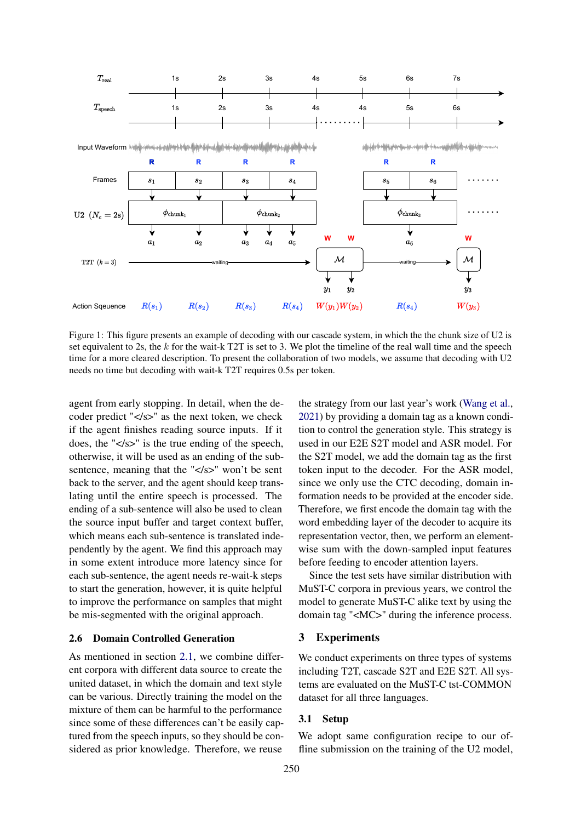<span id="page-3-0"></span>

Figure 1: This figure presents an example of decoding with our cascade system, in which the the chunk size of U2 is set equivalent to 2s, the  $k$  for the wait-k T2T is set to 3. We plot the timeline of the real wall time and the speech time for a more cleared description. To present the collaboration of two models, we assume that decoding with U2 needs no time but decoding with wait-k T2T requires 0.5s per token.

agent from early stopping. In detail, when the decoder predict "</s>" as the next token, we check if the agent finishes reading source inputs. If it does, the " $\langle$ s>" is the true ending of the speech, otherwise, it will be used as an ending of the subsentence, meaning that the "</s>" won't be sent back to the server, and the agent should keep translating until the entire speech is processed. The ending of a sub-sentence will also be used to clean the source input buffer and target context buffer, which means each sub-sentence is translated independently by the agent. We find this approach may in some extent introduce more latency since for each sub-sentence, the agent needs re-wait-k steps to start the generation, however, it is quite helpful to improve the performance on samples that might be mis-segmented with the original approach.

## 2.6 Domain Controlled Generation

As mentioned in section [2.1,](#page-1-0) we combine different corpora with different data source to create the united dataset, in which the domain and text style can be various. Directly training the model on the mixture of them can be harmful to the performance since some of these differences can't be easily captured from the speech inputs, so they should be considered as prior knowledge. Therefore, we reuse

the strategy from our last year's work [\(Wang et al.,](#page-7-7) [2021\)](#page-7-7) by providing a domain tag as a known condition to control the generation style. This strategy is used in our E2E S2T model and ASR model. For the S2T model, we add the domain tag as the first token input to the decoder. For the ASR model, since we only use the CTC decoding, domain information needs to be provided at the encoder side. Therefore, we first encode the domain tag with the word embedding layer of the decoder to acquire its representation vector, then, we perform an elementwise sum with the down-sampled input features before feeding to encoder attention layers.

Since the test sets have similar distribution with MuST-C corpora in previous years, we control the model to generate MuST-C alike text by using the domain tag "<MC>" during the inference process.

## 3 Experiments

We conduct experiments on three types of systems including T2T, cascade S2T and E2E S2T. All systems are evaluated on the MuST-C tst-COMMON dataset for all three languages.

## 3.1 Setup

We adopt same configuration recipe to our offline submission on the training of the U2 model,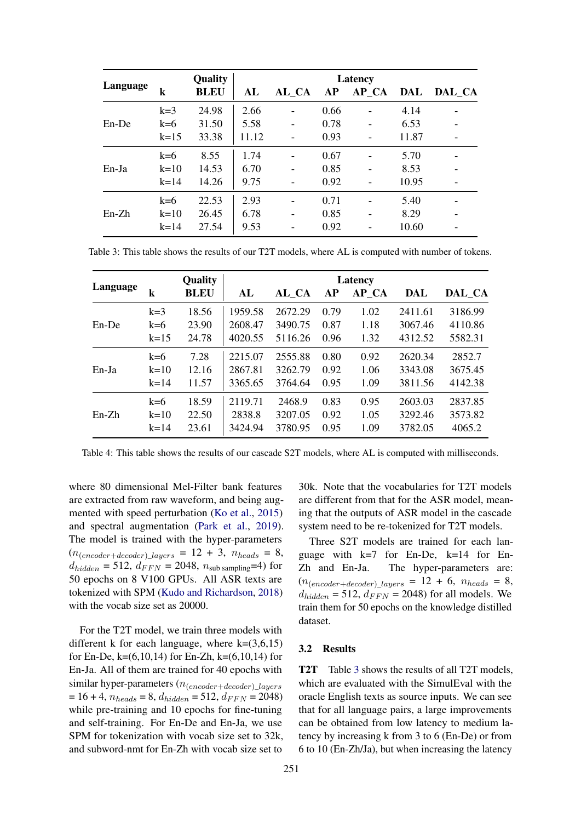<span id="page-4-0"></span>

|          |          | <b>Quality</b> | Latency |       |           |          |       |        |
|----------|----------|----------------|---------|-------|-----------|----------|-------|--------|
| Language | k        | <b>BLEU</b>    | AL      | AL CA | <b>AP</b> | $AP\_CA$ | DAL   | DAL_CA |
|          | $k=3$    | 24.98          | 2.66    |       | 0.66      |          | 4.14  |        |
| $En$ -De | $k=6$    | 31.50          | 5.58    |       | 0.78      |          | 6.53  |        |
|          | $k=15$   | 33.38          | 11.12   |       | 0.93      |          | 11.87 |        |
|          | $k=6$    | 8.55           | 1.74    |       | 0.67      |          | 5.70  |        |
| $En-Ia$  | $k=10$   | 14.53          | 6.70    |       | 0.85      |          | 8.53  |        |
|          | $k = 14$ | 14.26          | 9.75    |       | 0.92      |          | 10.95 |        |
| $En-Zh$  | $k=6$    | 22.53          | 2.93    |       | 0.71      |          | 5.40  |        |
|          | $k=10$   | 26.45          | 6.78    |       | 0.85      |          | 8.29  |        |
|          | $k=14$   | 27.54          | 9.53    |       | 0.92      |          | 10.60 |        |

Table 3: This table shows the results of our T2T models, where AL is computed with number of tokens.

<span id="page-4-1"></span>

| Language |        | <b>Quality</b> | Latency |         |      |          |         |         |
|----------|--------|----------------|---------|---------|------|----------|---------|---------|
|          | k      | <b>BLEU</b>    | AL      | AL CA   | AP   | $AP\_CA$ | DAL     | DAL CA  |
|          | $k=3$  | 18.56          | 1959.58 | 2672.29 | 0.79 | 1.02     | 2411.61 | 3186.99 |
| En-De    | $k=6$  | 23.90          | 2608.47 | 3490.75 | 0.87 | 1.18     | 3067.46 | 4110.86 |
|          | $k=15$ | 24.78          | 4020.55 | 5116.26 | 0.96 | 1.32     | 4312.52 | 5582.31 |
|          | $k=6$  | 7.28           | 2215.07 | 2555.88 | 0.80 | 0.92     | 2620.34 | 2852.7  |
| $En-Ia$  | $k=10$ | 12.16          | 2867.81 | 3262.79 | 0.92 | 1.06     | 3343.08 | 3675.45 |
|          | $k=14$ | 11.57          | 3365.65 | 3764.64 | 0.95 | 1.09     | 3811.56 | 4142.38 |
| $En-Zh$  | $k=6$  | 18.59          | 2119.71 | 2468.9  | 0.83 | 0.95     | 2603.03 | 2837.85 |
|          | $k=10$ | 22.50          | 2838.8  | 3207.05 | 0.92 | 1.05     | 3292.46 | 3573.82 |
|          | $k=14$ | 23.61          | 3424.94 | 3780.95 | 0.95 | 1.09     | 3782.05 | 4065.2  |

Table 4: This table shows the results of our cascade S2T models, where AL is computed with milliseconds.

where 80 dimensional Mel-Filter bank features are extracted from raw waveform, and being augmented with speed perturbation [\(Ko et al.,](#page-6-12) [2015\)](#page-6-12) and spectral augmentation [\(Park et al.,](#page-7-8) [2019\)](#page-7-8). The model is trained with the hyper-parameters  $(n_{(encoder+decoder)}_{layers} = 12 + 3, n_{heads} = 8,$  $d_{hidden} = 512$ ,  $d_{FFN} = 2048$ ,  $n_{sub sampling} = 4$ ) for 50 epochs on 8 V100 GPUs. All ASR texts are tokenized with SPM [\(Kudo and Richardson,](#page-6-13) [2018\)](#page-6-13) with the vocab size set as 20000.

For the T2T model, we train three models with different k for each language, where  $k=(3,6,15)$ for En-De, k= $(6,10,14)$  for En-Zh, k= $(6,10,14)$  for En-Ja. All of them are trained for 40 epochs with similar hyper-parameters  $(n_{(encoder+decoder)} \; layers)$  $= 16 + 4$ ,  $n_{heads} = 8$ ,  $d_{hidden} = 512$ ,  $d_{FFN} = 2048$ ) while pre-training and 10 epochs for fine-tuning and self-training. For En-De and En-Ja, we use SPM for tokenization with vocab size set to 32k, and subword-nmt for En-Zh with vocab size set to

30k. Note that the vocabularies for T2T models are different from that for the ASR model, meaning that the outputs of ASR model in the cascade system need to be re-tokenized for T2T models.

Three S2T models are trained for each language with  $k=7$  for En-De,  $k=14$  for En-Zh and En-Ja. The hyper-parameters are:  $(n_{(encoder+decoder) \; layers} = 12 + 6, \; n_{heads} = 8,$  $d_{hidden} = 512$ ,  $d_{FFN} = 2048$  for all models. We train them for 50 epochs on the knowledge distilled dataset.

## 3.2 Results

T2T Table [3](#page-4-0) shows the results of all T2T models, which are evaluated with the SimulEval with the oracle English texts as source inputs. We can see that for all language pairs, a large improvements can be obtained from low latency to medium latency by increasing k from 3 to 6 (En-De) or from 6 to 10 (En-Zh/Ja), but when increasing the latency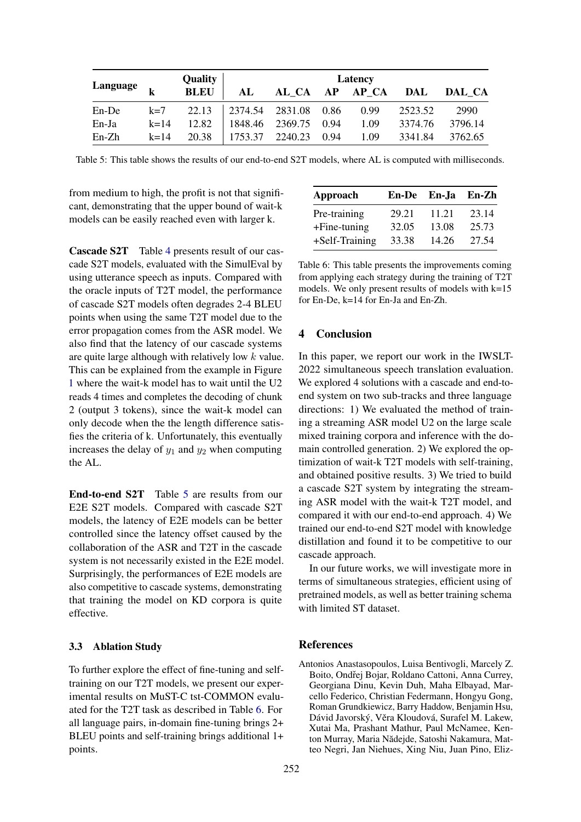<span id="page-5-1"></span>

|                       |          | <b>Quality</b> |         | Latency              |      |      |         |         |
|-----------------------|----------|----------------|---------|----------------------|------|------|---------|---------|
| Language $\mathbf{L}$ |          | <b>BLEU</b>    | AL      | AL CA AP AP CA       |      |      | DAL     | DAL CA  |
| $En$ -De              | $k=7$    | 22.13          |         | 2374.54 2831.08 0.86 |      | 0.99 | 2523.52 | 2990    |
| En-Ja                 | $k = 14$ | 12.82          |         | 1848.46 2369.75      | 0.94 | 1.09 | 3374.76 | 3796.14 |
| $En-Zh$               | $k = 14$ | 20.38          | 1753.37 | 2240.23              | 0.94 | 1.09 | 3341.84 | 3762.65 |

Table 5: This table shows the results of our end-to-end S2T models, where AL is computed with milliseconds.

from medium to high, the profit is not that significant, demonstrating that the upper bound of wait-k models can be easily reached even with larger k.

Cascade S2T Table [4](#page-4-1) presents result of our cascade S2T models, evaluated with the SimulEval by using utterance speech as inputs. Compared with the oracle inputs of T2T model, the performance of cascade S2T models often degrades 2-4 BLEU points when using the same T2T model due to the error propagation comes from the ASR model. We also find that the latency of our cascade systems are quite large although with relatively low k value. This can be explained from the example in Figure [1](#page-3-0) where the wait-k model has to wait until the U2 reads 4 times and completes the decoding of chunk 2 (output 3 tokens), since the wait-k model can only decode when the the length difference satisfies the criteria of k. Unfortunately, this eventually increases the delay of  $y_1$  and  $y_2$  when computing the AL.

End-to-end S2T Table [5](#page-5-1) are results from our E2E S2T models. Compared with cascade S2T models, the latency of E2E models can be better controlled since the latency offset caused by the collaboration of the ASR and T2T in the cascade system is not necessarily existed in the E2E model. Surprisingly, the performances of E2E models are also competitive to cascade systems, demonstrating that training the model on KD corpora is quite effective.

## 3.3 Ablation Study

To further explore the effect of fine-tuning and selftraining on our T2T models, we present our experimental results on MuST-C tst-COMMON evaluated for the T2T task as described in Table [6.](#page-5-2) For all language pairs, in-domain fine-tuning brings 2+ BLEU points and self-training brings additional 1+ points.

<span id="page-5-2"></span>

| Approach        |       | En-De En-Ja | En-Zh |
|-----------------|-------|-------------|-------|
| Pre-training    | 29.21 | 11.21       | 23.14 |
| $+$ Fine-tuning | 32.05 | 13.08       | 25.73 |
| +Self-Training  | 33.38 | 14.26       | 27.54 |

Table 6: This table presents the improvements coming from applying each strategy during the training of T2T models. We only present results of models with k=15 for En-De, k=14 for En-Ja and En-Zh.

## 4 Conclusion

In this paper, we report our work in the IWSLT-2022 simultaneous speech translation evaluation. We explored 4 solutions with a cascade and end-toend system on two sub-tracks and three language directions: 1) We evaluated the method of training a streaming ASR model U2 on the large scale mixed training corpora and inference with the domain controlled generation. 2) We explored the optimization of wait-k T2T models with self-training, and obtained positive results. 3) We tried to build a cascade S2T system by integrating the streaming ASR model with the wait-k T2T model, and compared it with our end-to-end approach. 4) We trained our end-to-end S2T model with knowledge distillation and found it to be competitive to our cascade approach.

In our future works, we will investigate more in terms of simultaneous strategies, efficient using of pretrained models, as well as better training schema with limited ST dataset.

## **References**

<span id="page-5-0"></span>Antonios Anastasopoulos, Luisa Bentivogli, Marcely Z. Boito, Ondřej Bojar, Roldano Cattoni, Anna Currey, Georgiana Dinu, Kevin Duh, Maha Elbayad, Marcello Federico, Christian Federmann, Hongyu Gong, Roman Grundkiewicz, Barry Haddow, Benjamin Hsu, Dávid Javorský, Věra Kloudová, Surafel M. Lakew, Xutai Ma, Prashant Mathur, Paul McNamee, Kenton Murray, Maria Nădejde, Satoshi Nakamura, Matteo Negri, Jan Niehues, Xing Niu, Juan Pino, Eliz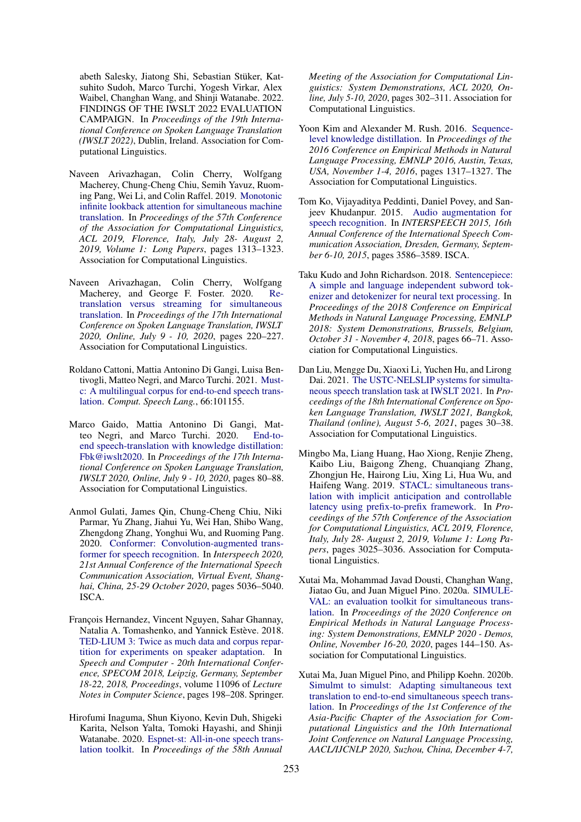abeth Salesky, Jiatong Shi, Sebastian Stüker, Katsuhito Sudoh, Marco Turchi, Yogesh Virkar, Alex Waibel, Changhan Wang, and Shinji Watanabe. 2022. FINDINGS OF THE IWSLT 2022 EVALUATION CAMPAIGN. In *Proceedings of the 19th International Conference on Spoken Language Translation (IWSLT 2022)*, Dublin, Ireland. Association for Computational Linguistics.

- <span id="page-6-1"></span>Naveen Arivazhagan, Colin Cherry, Wolfgang Macherey, Chung-Cheng Chiu, Semih Yavuz, Ruoming Pang, Wei Li, and Colin Raffel. 2019. [Monotonic](https://doi.org/10.18653/v1/p19-1126) [infinite lookback attention for simultaneous machine](https://doi.org/10.18653/v1/p19-1126) [translation.](https://doi.org/10.18653/v1/p19-1126) In *Proceedings of the 57th Conference of the Association for Computational Linguistics, ACL 2019, Florence, Italy, July 28- August 2, 2019, Volume 1: Long Papers*, pages 1313–1323. Association for Computational Linguistics.
- <span id="page-6-2"></span>Naveen Arivazhagan, Colin Cherry, Wolfgang Macherey, and George F. Foster. 2020. [Re](https://doi.org/10.18653/v1/2020.iwslt-1.27)[translation versus streaming for simultaneous](https://doi.org/10.18653/v1/2020.iwslt-1.27) [translation.](https://doi.org/10.18653/v1/2020.iwslt-1.27) In *Proceedings of the 17th International Conference on Spoken Language Translation, IWSLT 2020, Online, July 9 - 10, 2020*, pages 220–227. Association for Computational Linguistics.
- <span id="page-6-5"></span>Roldano Cattoni, Mattia Antonino Di Gangi, Luisa Bentivogli, Matteo Negri, and Marco Turchi. 2021. [Must](https://doi.org/10.1016/j.csl.2020.101155)[c: A multilingual corpus for end-to-end speech trans](https://doi.org/10.1016/j.csl.2020.101155)[lation.](https://doi.org/10.1016/j.csl.2020.101155) *Comput. Speech Lang.*, 66:101155.
- <span id="page-6-4"></span>Marco Gaido, Mattia Antonino Di Gangi, Matteo Negri, and Marco Turchi. 2020. [End-to](https://doi.org/10.18653/v1/2020.iwslt-1.8)[end speech-translation with knowledge distillation:](https://doi.org/10.18653/v1/2020.iwslt-1.8) [Fbk@iwslt2020.](https://doi.org/10.18653/v1/2020.iwslt-1.8) In *Proceedings of the 17th International Conference on Spoken Language Translation, IWSLT 2020, Online, July 9 - 10, 2020*, pages 80–88. Association for Computational Linguistics.
- <span id="page-6-7"></span>Anmol Gulati, James Qin, Chung-Cheng Chiu, Niki Parmar, Yu Zhang, Jiahui Yu, Wei Han, Shibo Wang, Zhengdong Zhang, Yonghui Wu, and Ruoming Pang. 2020. [Conformer: Convolution-augmented trans](https://doi.org/10.21437/Interspeech.2020-3015)[former for speech recognition.](https://doi.org/10.21437/Interspeech.2020-3015) In *Interspeech 2020, 21st Annual Conference of the International Speech Communication Association, Virtual Event, Shanghai, China, 25-29 October 2020*, pages 5036–5040. ISCA.
- <span id="page-6-6"></span>François Hernandez, Vincent Nguyen, Sahar Ghannay, Natalia A. Tomashenko, and Yannick Estève. 2018. [TED-LIUM 3: Twice as much data and corpus repar](https://doi.org/10.1007/978-3-319-99579-3_21)[tition for experiments on speaker adaptation.](https://doi.org/10.1007/978-3-319-99579-3_21) In *Speech and Computer - 20th International Conference, SPECOM 2018, Leipzig, Germany, September 18-22, 2018, Proceedings*, volume 11096 of *Lecture Notes in Computer Science*, pages 198–208. Springer.
- <span id="page-6-10"></span>Hirofumi Inaguma, Shun Kiyono, Kevin Duh, Shigeki Karita, Nelson Yalta, Tomoki Hayashi, and Shinji Watanabe. 2020. [Espnet-st: All-in-one speech trans](https://doi.org/10.18653/v1/2020.acl-demos.34)[lation toolkit.](https://doi.org/10.18653/v1/2020.acl-demos.34) In *Proceedings of the 58th Annual*

*Meeting of the Association for Computational Linguistics: System Demonstrations, ACL 2020, Online, July 5-10, 2020*, pages 302–311. Association for Computational Linguistics.

- <span id="page-6-9"></span>Yoon Kim and Alexander M. Rush. 2016. [Sequence](https://doi.org/10.18653/v1/d16-1139)[level knowledge distillation.](https://doi.org/10.18653/v1/d16-1139) In *Proceedings of the 2016 Conference on Empirical Methods in Natural Language Processing, EMNLP 2016, Austin, Texas, USA, November 1-4, 2016*, pages 1317–1327. The Association for Computational Linguistics.
- <span id="page-6-12"></span>Tom Ko, Vijayaditya Peddinti, Daniel Povey, and Sanjeev Khudanpur. 2015. [Audio augmentation for](http://www.isca-speech.org/archive/interspeech_2015/i15_3586.html) [speech recognition.](http://www.isca-speech.org/archive/interspeech_2015/i15_3586.html) In *INTERSPEECH 2015, 16th Annual Conference of the International Speech Communication Association, Dresden, Germany, September 6-10, 2015*, pages 3586–3589. ISCA.
- <span id="page-6-13"></span>Taku Kudo and John Richardson. 2018. [Sentencepiece:](https://doi.org/10.18653/v1/d18-2012) [A simple and language independent subword tok](https://doi.org/10.18653/v1/d18-2012)[enizer and detokenizer for neural text processing.](https://doi.org/10.18653/v1/d18-2012) In *Proceedings of the 2018 Conference on Empirical Methods in Natural Language Processing, EMNLP 2018: System Demonstrations, Brussels, Belgium, October 31 - November 4, 2018*, pages 66–71. Association for Computational Linguistics.
- <span id="page-6-8"></span>Dan Liu, Mengge Du, Xiaoxi Li, Yuchen Hu, and Lirong Dai. 2021. [The USTC-NELSLIP systems for simulta](https://doi.org/10.18653/v1/2021.iwslt-1.2)[neous speech translation task at IWSLT 2021.](https://doi.org/10.18653/v1/2021.iwslt-1.2) In *Proceedings of the 18th International Conference on Spoken Language Translation, IWSLT 2021, Bangkok, Thailand (online), August 5-6, 2021*, pages 30–38. Association for Computational Linguistics.
- <span id="page-6-0"></span>Mingbo Ma, Liang Huang, Hao Xiong, Renjie Zheng, Kaibo Liu, Baigong Zheng, Chuanqiang Zhang, Zhongjun He, Hairong Liu, Xing Li, Hua Wu, and Haifeng Wang. 2019. [STACL: simultaneous trans](https://doi.org/10.18653/v1/p19-1289)[lation with implicit anticipation and controllable](https://doi.org/10.18653/v1/p19-1289) [latency using prefix-to-prefix framework.](https://doi.org/10.18653/v1/p19-1289) In *Proceedings of the 57th Conference of the Association for Computational Linguistics, ACL 2019, Florence, Italy, July 28- August 2, 2019, Volume 1: Long Papers*, pages 3025–3036. Association for Computational Linguistics.
- <span id="page-6-3"></span>Xutai Ma, Mohammad Javad Dousti, Changhan Wang, Jiatao Gu, and Juan Miguel Pino. 2020a. [SIMULE-](https://doi.org/10.18653/v1/2020.emnlp-demos.19)[VAL: an evaluation toolkit for simultaneous trans](https://doi.org/10.18653/v1/2020.emnlp-demos.19)[lation.](https://doi.org/10.18653/v1/2020.emnlp-demos.19) In *Proceedings of the 2020 Conference on Empirical Methods in Natural Language Processing: System Demonstrations, EMNLP 2020 - Demos, Online, November 16-20, 2020*, pages 144–150. Association for Computational Linguistics.
- <span id="page-6-11"></span>Xutai Ma, Juan Miguel Pino, and Philipp Koehn. 2020b. [Simulmt to simulst: Adapting simultaneous text](https://aclanthology.org/2020.aacl-main.58/) [translation to end-to-end simultaneous speech trans](https://aclanthology.org/2020.aacl-main.58/)[lation.](https://aclanthology.org/2020.aacl-main.58/) In *Proceedings of the 1st Conference of the Asia-Pacific Chapter of the Association for Computational Linguistics and the 10th International Joint Conference on Natural Language Processing, AACL/IJCNLP 2020, Suzhou, China, December 4-7,*